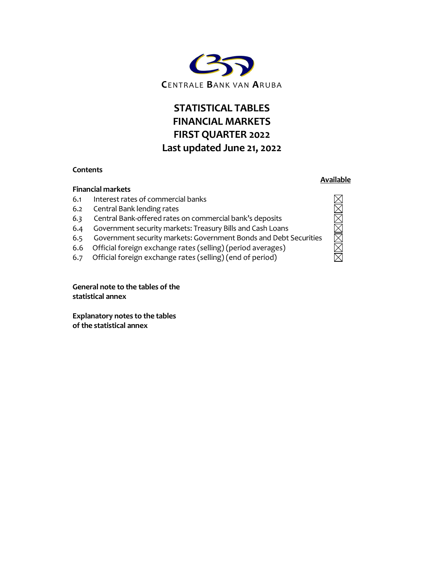

# STATISTICAL TABLES FINANCIAL MARKETS FIRST QUARTER 2022 Last updated June 21, 2022

### **Contents**

### Financial markets

- 6.1 Interest rates of commercial banks
- 6.2 Central Bank lending rates
- 6.3 Central Bank-offered rates on commercial bank's deposits
- 6.4 Government security markets: Treasury Bills and Cash Loans
- 6.5 Government security markets: Government Bonds and Debt Securities
- 6.6 Official foreign exchange rates (selling) (period averages)
- 6.7 Official foreign exchange rates (selling) (end of period)

General note to the tables of the statistical annex

Explanatory notes to the tables of the statistical annex

## Available

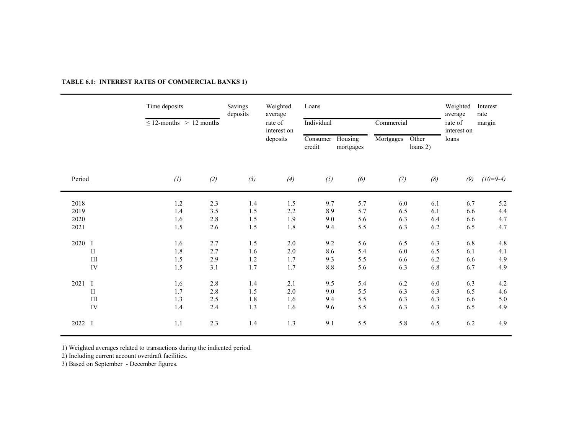|                              |                             | Time deposits<br>$\leq$ 12-months > 12 months |                          | Savings<br>deposits        | Weighted<br>average<br>rate of<br>interest on<br>deposits | Loans<br>Individual<br>Consumer<br>credit | Housing<br>mortgages     | Commercial<br>Mortgages  | Other<br>loans 2)        | Weighted<br>average<br>rate of<br>interest on<br>loans | Interest<br>rate<br>margin           |
|------------------------------|-----------------------------|-----------------------------------------------|--------------------------|----------------------------|-----------------------------------------------------------|-------------------------------------------|--------------------------|--------------------------|--------------------------|--------------------------------------------------------|--------------------------------------|
| Period                       |                             | (1)                                           | (2)                      | (3)                        | (4)                                                       | (5)                                       | (6)                      | (7)                      | (8)                      | (9)                                                    | $(10=9-4)$                           |
| 2018<br>2019<br>2020<br>2021 |                             | 1.2<br>1.4<br>1.6<br>1.5                      | 2.3<br>3.5<br>2.8<br>2.6 | 1.4<br>$1.5$<br>1.5<br>1.5 | 1.5<br>2.2<br>1.9<br>1.8                                  | 9.7<br>8.9<br>9.0<br>9.4                  | 5.7<br>5.7<br>5.6<br>5.5 | 6.0<br>6.5<br>6.3<br>6.3 | 6.1<br>6.1<br>6.4<br>6.2 | 6.7<br>6.6<br>6.6<br>6.5                               | 5.2<br>4.4<br>4.7<br>4.7             |
| 2020 I                       | $\rm II$<br>$\rm III$<br>IV | 1.6<br>1.8<br>1.5<br>1.5                      | 2.7<br>2.7<br>2.9<br>3.1 | 1.5<br>1.6<br>1.2<br>1.7   | $2.0\,$<br>$2.0\,$<br>1.7<br>1.7                          | 9.2<br>8.6<br>9.3<br>8.8                  | 5.6<br>5.4<br>5.5<br>5.6 | 6.5<br>6.0<br>6.6<br>6.3 | 6.3<br>6.5<br>6.2<br>6.8 | 6.8<br>6.1<br>6.6<br>6.7                               | $4.8\,$<br>4.1<br>4.9<br>4.9         |
| 2021 I                       | $\rm II$<br>$\rm III$<br>IV | 1.6<br>1.7<br>1.3<br>1.4                      | 2.8<br>2.8<br>2.5<br>2.4 | 1.4<br>1.5<br>1.8<br>1.3   | 2.1<br>$2.0\,$<br>1.6<br>1.6                              | 9.5<br>9.0<br>9.4<br>9.6                  | 5.4<br>5.5<br>5.5<br>5.5 | 6.2<br>6.3<br>6.3<br>6.3 | 6.0<br>6.3<br>6.3<br>6.3 | 6.3<br>6.5<br>6.6<br>6.5                               | $4.2\,$<br>$4.6\,$<br>$5.0\,$<br>4.9 |
| 2022 I                       |                             | 1.1                                           | 2.3                      | 1.4                        | 1.3                                                       | 9.1                                       | 5.5                      | 5.8                      | 6.5                      | 6.2                                                    | 4.9                                  |

### TABLE 6.1: INTEREST RATES OF COMMERCIAL BANKS 1)

1) Weighted averages related to transactions during the indicated period.

2) Including current account overdraft facilities.

3) Based on September - December figures.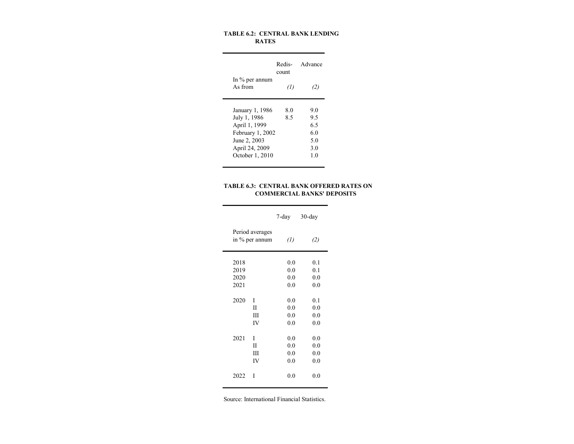#### TABLE 6.2: CENTRAL BANK LENDING RATES

|                   | count             | Redis- Advance |
|-------------------|-------------------|----------------|
| In $\%$ per annum |                   |                |
| As from           | $\left( I\right)$ | (2)            |
| January 1, 1986   | 8.0               | 9.0            |
| July 1, 1986      | 8.5               | 9.5            |
| April 1, 1999     |                   | 6.5            |
| February 1, 2002  |                   | 6.0            |
| June 2, 2003      |                   | 5.0            |
| April 24, 2009    |                   | 3.0            |
| October 1, 2010   |                   | 1.0            |

#### TABLE 6.3: CENTRAL BANK OFFERED RATES ON COMMERCIAL BANKS' DEPOSITS

7-day 30-day Period averages in % per annum  $(1)$   $(2)$ 2018 0.0 0.1<br>2019 0.0 0.1  $\begin{array}{cccc} 2019 & \hspace{1.5cm} 0.0 & \hspace{1.5cm} 0.1 \\ 2020 & \hspace{1.5cm} 0.0 & \hspace{1.5cm} 0.0 \end{array}$  $\begin{array}{cccc} 2020 & & 0.0 & & 0.0 \\ 2021 & & & 0.0 & & 0.0 \end{array}$ 2021  $\begin{tabular}{ccccc} 2020 & I & 0.0 & 0.1 \\ & II & 0.0 & 0.0 \\ \end{tabular}$  $\begin{tabular}{llll} \bf II & \bf 0.0 & \bf 0.0 \\ \bf III & \bf 0.0 & \bf 0.0 \\ \end{tabular}$  $\begin{tabular}{llll} \hline III && 0.0 && 0.0 \\ IV && 0.0 && 0.0 \end{tabular}$  $0.0$  $\begin{array}{ccccccccc}\n 2021 & I & & & 0.0 & & 0.0 \\
& & \text{II} & & & 0.0 & & 0.0\n \end{array}$  $\begin{tabular}{llll} \bf II & & 0.0 & 0.0 \\ \bf III & & 0.0 & 0.0 \\ \end{tabular}$  $\begin{array}{ccc} \rm III & \hspace{1.5mm} & 0.0 & \hspace{1.5mm} & 0.0 \\ \rm IV & \hspace{1.5mm} & 0.0 & \hspace{1.5mm} & 0.0 \\ \end{array}$  $0.0$  0.0

Source: International Financial Statistics.

2022 I 0.0 0.0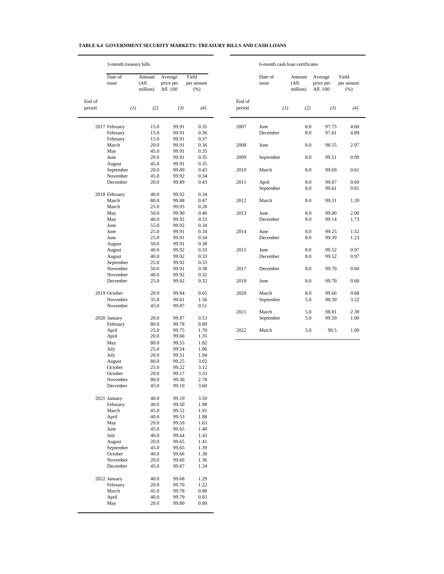#### **TABLE 6.4 GOVERNMENT SECURITY MARKETS: TREASURY BILLS AND CASH LOANS**

 $\overline{\phantom{a}}$ 

 $\overline{a}$ 

|                  | 3-month treasury bills |     |                             |                                  |                            |                  | 6-month cash loan certificates |                             |                                  |                            |  |
|------------------|------------------------|-----|-----------------------------|----------------------------------|----------------------------|------------------|--------------------------------|-----------------------------|----------------------------------|----------------------------|--|
|                  | Date of<br>issue       |     | Amount<br>(Afl.<br>million) | Average<br>price per<br>Afl. 100 | Yield<br>per annum<br>(% ) |                  | Date of<br>issue               | Amount<br>(Afl.<br>million) | Average<br>price per<br>Afl. 100 | Yield<br>per annum<br>(% ) |  |
| End of<br>period |                        | (1) | (2)                         | (3)                              | (4)                        | End of<br>period |                                | (1)<br>(2)                  | (3)                              | (4)                        |  |
|                  | 2017 February          |     | 15.0                        | 99.91                            | 0.35                       | 2007             | June                           | 8.0                         | 97.75                            | 4.60                       |  |
|                  | February               |     | 15.0                        | 99.91                            | 0.36                       |                  | December                       | 8.0                         | 97.61                            | 4.89                       |  |
|                  | February<br>March      |     | 15.0<br>20.0                | 99.91<br>99.91                   | 0.37<br>0.36               | 2008             | June                           | 8.0                         | 98.55                            | 2.97                       |  |
|                  | May                    |     | 45.0                        | 99.91                            | 0.35                       |                  |                                |                             |                                  |                            |  |
|                  | June                   |     | 20.0                        | 99.91                            | 0.35                       | 2009             | September                      | 8.0                         | 99.51                            | 0.99                       |  |
|                  | August                 |     | 45.0                        | 99.91                            | 0.35                       |                  |                                |                             |                                  |                            |  |
|                  | September              |     | 20.0                        | 99.89                            | 0.43                       | 2010             | March                          | 8.0                         | 99.69                            | 0.61                       |  |
|                  | November               |     | 45.0                        | 99.92                            | 0.34                       |                  |                                |                             |                                  |                            |  |
|                  | December               |     | 20.0                        | 99.89                            | 0.43                       | 2011             | April<br>September             | 8.0<br>8.0                  | 99.67<br>99.61                   | 0.69<br>0.81               |  |
|                  | 2018 February          |     | 40.0                        | 99.92                            | 0.34                       |                  |                                |                             |                                  |                            |  |
|                  | March                  |     | 80.0                        | 99.88                            | 0.47                       | 2012             | March                          | 8.0                         | 99.31                            | 1.39                       |  |
|                  | March                  |     | 25.0                        | 99.93                            | 0.28                       |                  |                                |                             |                                  |                            |  |
|                  | May                    |     | 50.0                        | 99.90                            | 0.40                       | 2013             | June                           | 8.0                         | 99.00                            | 2.00                       |  |
|                  | May                    |     | 40.0                        | 99.92                            | 0.33                       |                  | December                       | 8.0                         | 99.14                            | 1.73                       |  |
|                  | June                   |     | 55.0                        | 99.92                            | 0.34                       |                  |                                |                             |                                  |                            |  |
|                  | June                   |     | 25.0                        | 99.91                            | 0.34                       | 2014             | June                           | 8.0                         | 99.25                            | 1.52                       |  |
|                  | June                   |     | 25.0                        | 99.91                            | 0.34                       |                  | December                       | 8.0                         | 99.39                            | 1.23                       |  |
|                  | August                 |     | 50.0                        | 99.91                            | 0.38                       |                  |                                |                             |                                  |                            |  |
|                  | August                 |     | 40.0                        | 99.92                            | 0.33                       | 2015             | June                           | 8.0                         | 99.52                            | 0.97                       |  |
|                  | August                 |     | 40.0                        | 99.92                            | 0.33                       |                  | December                       | 8.0                         | 99.52                            | 0.97                       |  |
|                  | September              |     | 25.0                        | 99.92                            | 0.33                       |                  |                                |                             |                                  |                            |  |
|                  | November<br>November   |     | 50.0                        | 99.91                            | 0.38                       | 2017             | December                       | 8.0                         | 99.70                            | 0.60                       |  |
|                  | December               |     | 40.0<br>25.0                | 99.92<br>99.92                   | 0.32<br>0.32               | 2018             | June                           | 8.0                         | 99.70                            | 0.60                       |  |
|                  | 2019 October           |     | 20.0                        | 99.84                            | 0.65                       | 2020             | March                          | 8.0                         | 99.66                            | 0.68                       |  |
|                  | November               |     | 35.0                        | 99.61                            | 1.56                       |                  | September                      | 5.0                         | 98.39                            | 3.22                       |  |
|                  | November               |     | 45.0                        | 99.87                            | 0.51                       |                  |                                |                             |                                  |                            |  |
|                  |                        |     |                             |                                  |                            | 2021             | March                          | 5.0                         | 98.81                            | 2.39                       |  |
|                  | 2020 January           |     | 20.0                        | 99.87                            | 0.53                       |                  | September                      | 5.0                         | 99.50                            | 1.00                       |  |
|                  | February               |     | 80.0                        | 99.78                            | 0.89                       |                  |                                |                             |                                  |                            |  |
|                  | April                  |     | 25.0                        | 99.75                            | 1.70                       | 2022             | March                          | 5.0                         | 99.5                             | 1.00                       |  |
|                  | April                  |     | 20.0                        | 99.66                            | 1.35                       |                  |                                |                             |                                  |                            |  |
|                  | May                    |     | 80.0                        | 99.55                            | 1.82                       |                  |                                |                             |                                  |                            |  |
|                  | July                   |     | 25.0                        | 99.54                            | 1.86                       |                  |                                |                             |                                  |                            |  |
|                  | July                   |     | 20.0                        | 99.51                            | 1.94                       |                  |                                |                             |                                  |                            |  |
|                  | August                 |     | 80.0                        | 99.25                            | 3.02                       |                  |                                |                             |                                  |                            |  |
|                  | October                |     | 25.0                        | 99.22                            | 3.12                       |                  |                                |                             |                                  |                            |  |
|                  | October                |     | 20.0                        | 99.17                            | 3.33                       |                  |                                |                             |                                  |                            |  |
|                  | November               |     | 80.0                        | 99.30                            | 2.78                       |                  |                                |                             |                                  |                            |  |
|                  | December               |     | 45.0                        | 99.10                            | 3.60                       |                  |                                |                             |                                  |                            |  |
|                  | 2021 January           |     | 40.0                        | 99.10                            | 3.59                       |                  |                                |                             |                                  |                            |  |
|                  | February               |     | 40.0                        | 99.50                            | 1.98                       |                  |                                |                             |                                  |                            |  |
|                  | March                  |     | 45.0                        | 99.52                            | 1.91                       |                  |                                |                             |                                  |                            |  |
|                  | April                  |     | 40.0                        | 99.53                            | 1.88                       |                  |                                |                             |                                  |                            |  |
|                  | May                    |     | 20.0                        | 99.59                            | 1.63                       |                  |                                |                             |                                  |                            |  |
|                  | June                   |     | 45.0                        | 99.65                            | 1.40                       |                  |                                |                             |                                  |                            |  |
|                  | July                   |     | 40.0                        | 99.64                            | 1.43                       |                  |                                |                             |                                  |                            |  |
|                  | August                 |     | 20.0                        | 99.65                            | 1.41                       |                  |                                |                             |                                  |                            |  |
|                  | September<br>October   |     | 45.0<br>40.0                | 99.65<br>99.66                   | 1.39<br>1.38               |                  |                                |                             |                                  |                            |  |
|                  | November               |     | 20.0                        | 99.66                            | 1.36                       |                  |                                |                             |                                  |                            |  |
|                  | December               |     | 45.0                        | 99.67                            | 1.34                       |                  |                                |                             |                                  |                            |  |
|                  |                        |     |                             |                                  |                            |                  |                                |                             |                                  |                            |  |
|                  | 2022 January           |     | 40.0                        | 99.68                            | 1.29                       |                  |                                |                             |                                  |                            |  |
|                  | February               |     | 20.0                        | 99.70                            | 1.22                       |                  |                                |                             |                                  |                            |  |
|                  | March                  |     | 45.0                        | 99.78                            | 0.88                       |                  |                                |                             |                                  |                            |  |
|                  | April                  |     | 40.0                        | 99.79                            | 0.83                       |                  |                                |                             |                                  |                            |  |
|                  | May                    |     | 20.0                        | 99.80                            | 0.80                       |                  |                                |                             |                                  |                            |  |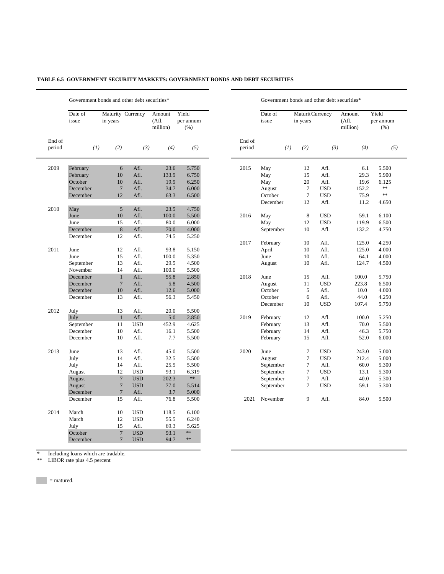|                  | Date of<br>issue | in years         | Maturity Currency | Amount<br>(Afl.<br>million) | Yield<br>per annum<br>(% ) |      | Date of<br>issue | Maturit Currency<br>in years |            | Amount<br>(Af.<br>million) | Yield<br>per annum<br>(% ) |
|------------------|------------------|------------------|-------------------|-----------------------------|----------------------------|------|------------------|------------------------------|------------|----------------------------|----------------------------|
| End of<br>period | (1)              | (2)              | (3)               | (4)                         | End of<br>(5)<br>period    |      | (1)              | (2)<br>(3)                   |            | (4)                        | (5)                        |
| 2009             | February         | 6                | Afl.              | 23.6                        | 5.750                      | 2015 | May              | 12                           | Afl.       | 6.1                        | 5.500                      |
|                  | February         | 10               | Afl.              | 133.9                       | 6.750                      |      | May              | 15                           | Afl.       | 29.3                       | 5.900                      |
|                  | October          | 10               | Afl.              | 19.9                        | 6.250                      |      | May              | 20                           | Afl.       | 19.6                       | 6.125                      |
|                  | December         | $7\phantom{.0}$  | Afl.              | 34.7                        | 6.000                      |      | August           | $\overline{7}$               | <b>USD</b> | 152.2                      | **                         |
|                  | December         | 12               | Afl.              | 63.3                        | 6.500                      |      | October          | $\tau$                       | <b>USD</b> | 75.9                       | $\ast\ast$                 |
|                  |                  |                  |                   |                             |                            |      | December         | 12                           | Afl.       | 11.2                       | 4.650                      |
| 2010             | May              | $\sqrt{5}$       | Afl.              | 23.5                        | 4.750                      |      |                  |                              |            |                            |                            |
|                  | June             | 10               | Afl.              | 100.0                       | 5.500                      | 2016 | May              | $\,8\,$                      | <b>USD</b> | 59.1                       | 6.100                      |
|                  | June             | 15               | Afl.              | 80.0                        | 6.000                      |      | May              | 12                           | <b>USD</b> | 119.9                      | 6.500                      |
|                  | December         | 8                | Afl.              | 70.0                        | 4.000                      |      | September        | 10                           | Afl.       | 132.2                      | 4.750                      |
|                  | December         | 12               | Afl.              | 74.5                        | 5.250                      |      |                  |                              |            |                            |                            |
|                  |                  |                  |                   |                             |                            | 2017 | February         | 10                           | Afl.       | 125.0                      | 4.250                      |
| 2011             | June             | 12               | Afl.              | 93.8                        | 5.150                      |      | April            | 10                           | Afl.       | 125.0                      | 4.000                      |
|                  | June             | 15               | Afl.              | 100.0                       | 5.350                      |      | June             | 10                           | Afl.       | 64.1                       | 4.000                      |
|                  | September        | 13               | Afl.              | 29.5                        | 4.500                      |      | August           | 10                           | Afl.       | 124.7                      | 4.500                      |
|                  | November         | 14               | Afl.              | 100.0                       | 5.500                      |      |                  |                              |            |                            |                            |
|                  | December         | $\mathbf{1}$     | Afl.              | 55.8                        | 2.850                      | 2018 | June             | 15                           | Afl.       | 100.0                      | 5.750                      |
|                  | December         | $7\phantom{.0}$  | Afl.              | 5.8                         | 4.500                      |      | August           | 11                           | <b>USD</b> | 223.8                      | 6.500                      |
|                  | December         | 10               | Afl.              | 12.6                        | 5.000                      |      | October          | 5                            | Afl.       | 10.0                       | 4.000                      |
|                  | December         | 13               | Afl.              | 56.3                        | 5.450                      |      | October          | 6                            | Afl.       | 44.0                       | 4.250                      |
|                  |                  |                  |                   |                             |                            |      | December         | 10                           | <b>USD</b> | 107.4                      | 5.750                      |
| 2012             | July             | 13               | Afl.              | 20.0                        | 5.500                      |      |                  |                              |            |                            |                            |
|                  | July             | $\mathbf{1}$     | Afl.              | 5.0                         | 2.850                      | 2019 | February         | 12                           | Afl.       | 100.0                      | 5.250                      |
|                  | September        | 11               | <b>USD</b>        | 452.9                       | 4.625                      |      | February         | 13                           | Afl.       | 70.0                       | 5.500                      |
|                  | December         | 10               | Afl.              | 16.1                        | 5.500                      |      | February         | 14                           | Afl.       | 46.3                       | 5.750                      |
|                  | December         | 10               | Afl.              | 7.7                         | 5.500                      |      | February         | 15                           | Afl.       | 52.0                       | 6.000                      |
| 2013             | June             | 13               | Afl.              | 45.0                        | 5.500                      | 2020 | June             | $\tau$                       | <b>USD</b> | 243.0                      | 5.000                      |
|                  | July             | 14               | Afl.              | 32.5                        | 5.500                      |      | August           | $\tau$                       | <b>USD</b> | 212.4                      | 5.000                      |
|                  | July             | 14               | Afl.              | 25.5                        | 5.500                      |      | September        | $\tau$                       | Afl.       | 60.0                       | 5.300                      |
|                  | August           | 12               | <b>USD</b>        | 93.1                        | 6.319                      |      | September        | $\tau$                       | <b>USD</b> | 13.1                       | 5.300                      |
|                  | August           | $\boldsymbol{7}$ | <b>USD</b>        | 202.3                       | $**$                       |      | September        | $\tau$                       | Afl.       | 40.0                       | 5.300                      |
|                  | August           | $\boldsymbol{7}$ | <b>USD</b>        | 77.0                        | 5.514                      |      | September        | $\tau$                       | <b>USD</b> | 59.1                       | 5.300                      |
|                  | December         | $\overline{7}$   | Afl.              | 3.7                         | 5.000                      |      |                  |                              |            |                            |                            |
|                  | December         | 15               | Afl.              | 76.8                        | 5.500                      | 2021 | November         | 9                            | Afl.       | 84.0                       | 5.500                      |
| 2014             | March            | 10               | <b>USD</b>        | 118.5                       | 6.100                      |      |                  |                              |            |                            |                            |
|                  | March            | 12               | <b>USD</b>        | 55.5                        | 6.240                      |      |                  |                              |            |                            |                            |
|                  | July             | 15               | Afl.              | 69.3                        | 5.625                      |      |                  |                              |            |                            |                            |
|                  | October          | $\boldsymbol{7}$ | <b>USD</b>        | 93.1                        | **                         |      |                  |                              |            |                            |                            |
|                  | December         | $\overline{7}$   | <b>USD</b>        | 94.7                        | **                         |      |                  |                              |            |                            |                            |

### **TABLE 6.5 GOVERNMENT SECURITY MARKETS: GOVERNMENT BONDS AND DEBT SECURITIES**

| Amount<br>(Afl.<br>million) | Yield<br>per annum<br>(% ) |                  | Date of<br>issue | Maturit Currency<br>in years |              | Amount<br>(Af1)<br>million) | Yield<br>per annum<br>(% ) |
|-----------------------------|----------------------------|------------------|------------------|------------------------------|--------------|-----------------------------|----------------------------|
| (4)                         | (5)                        | End of<br>period | (1)              | (2)                          | (3)          | (4)                         | (5)                        |
|                             |                            |                  |                  |                              |              |                             |                            |
| 23.6                        | 5.750                      | 2015             | May              | 12                           | Afl.         | 6.1                         | 5.500                      |
| 133.9<br>19.9               | 6.750<br>6.250             |                  | May              | 15<br>20                     | Afl.<br>Afl. | 29.3<br>19.6                | 5.900                      |
| 34.7                        | 6.000                      |                  | May<br>August    | $\tau$                       | <b>USD</b>   | 152.2                       | 6.125<br>**                |
| 63.3                        | 6.500                      |                  | October          | $\tau$                       | <b>USD</b>   | 75.9                        | $**$                       |
|                             |                            |                  | December         | 12                           | Afl.         | 11.2                        | 4.650                      |
| 23.5                        | 4.750                      |                  |                  |                              |              |                             |                            |
| 100.0                       | 5.500                      | 2016             | May              | 8                            | <b>USD</b>   | 59.1                        | 6.100                      |
| 80.0                        | 6.000                      |                  | May              | 12                           | <b>USD</b>   | 119.9                       | 6.500                      |
| 70.0                        | 4.000                      |                  | September        | 10                           | Afl.         | 132.2                       | 4.750                      |
| 74.5                        | 5.250                      |                  |                  |                              |              |                             |                            |
|                             |                            | 2017             | February         | $10\,$                       | Afl.         | 125.0                       | 4.250                      |
| 93.8                        | 5.150                      |                  | April            | 10                           | Afl.         | 125.0                       | 4.000                      |
| 100.0                       | 5.350                      |                  | June             | 10                           | Afl.         | 64.1                        | 4.000                      |
| 29.5                        | 4.500                      |                  | August           | 10                           | Afl.         | 124.7                       | 4.500                      |
| 100.0                       | 5.500                      |                  |                  |                              |              |                             |                            |
| 55.8                        | 2.850                      | 2018             | June             | 15                           | Afl.         | 100.0                       | 5.750                      |
| 5.8                         | 4.500                      |                  | August           | 11                           | <b>USD</b>   | 223.8                       | 6.500                      |
| 12.6                        | 5.000                      |                  | October          | 5                            | Afl.         | 10.0                        | 4.000                      |
| 56.3                        | 5.450                      |                  | October          | 6                            | Afl.         | 44.0                        | 4.250                      |
|                             |                            |                  | December         | 10                           | <b>USD</b>   | 107.4                       | 5.750                      |
| 20.0                        | 5.500                      |                  |                  |                              |              |                             |                            |
| 5.0                         | 2.850                      | 2019             | February         | 12                           | Afl.         | 100.0                       | 5.250                      |
| 452.9                       | 4.625                      |                  | February         | 13                           | Afl.         | 70.0                        | 5.500                      |
| 16.1                        | 5.500                      |                  | February         | 14                           | Afl.         | 46.3                        | 5.750                      |
| 7.7                         | 5.500                      |                  | February         | 15                           | Afl.         | 52.0                        | 6.000                      |
|                             |                            |                  |                  |                              |              |                             |                            |
| 45.0                        | 5.500                      | 2020             | June             | $\tau$                       | <b>USD</b>   | 243.0                       | 5.000                      |
| 32.5                        | 5.500                      |                  | August           | $\tau$                       | <b>USD</b>   | 212.4                       | 5.000                      |
| 25.5                        | 5.500                      |                  | September        | $\overline{7}$               | Afl.         | 60.0                        | 5.300                      |
| 93.1                        | 6.319                      |                  | September        | $\tau$                       | <b>USD</b>   | 13.1                        | 5.300                      |
| 202.3                       | **                         |                  | September        | $\tau$                       | Afl.         | 40.0                        | 5.300                      |
| 77.0                        | 5.514                      |                  | September        | 7                            | <b>USD</b>   | 59.1                        | 5.300                      |
| 3.7                         | 5.000                      |                  |                  |                              |              |                             |                            |
| 76.8                        | 5.500                      | 2021             | November         | 9                            | Afl.         | 84.0                        | 5.500                      |

\* Including loans which are tradable.

\*\* LIBOR rate plus 4.5 percent

 $=$  matured.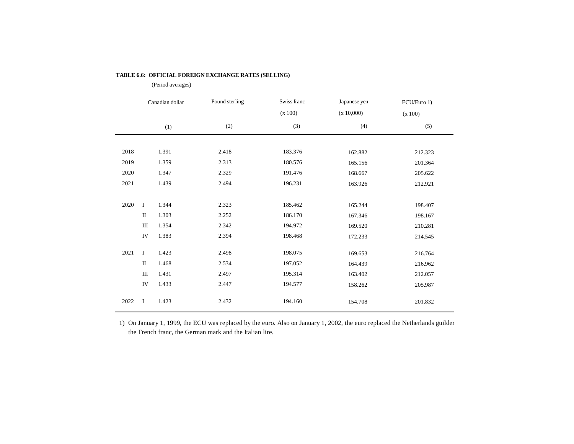|      |              | Canadian dollar | Pound sterling | Swiss franc<br>(x 100) | Japanese yen<br>(x 10,000) | ECU/Euro 1)<br>(x 100) |
|------|--------------|-----------------|----------------|------------------------|----------------------------|------------------------|
|      |              | (1)             | (2)            | (3)                    | (4)                        | (5)                    |
|      |              |                 |                |                        |                            |                        |
| 2018 |              | 1.391           | 2.418          | 183.376                | 162.882                    | 212.323                |
| 2019 |              | 1.359           | 2.313          | 180.576                | 165.156                    | 201.364                |
| 2020 |              | 1.347           | 2.329          | 191.476                | 168.667                    | 205.622                |
| 2021 |              | 1.439           | 2.494          | 196.231                | 163.926                    | 212.921                |
|      |              |                 |                |                        |                            |                        |
| 2020 | $\bf I$      | 1.344           | 2.323          | 185.462                | 165.244                    | 198.407                |
|      | $\mathbf{I}$ | 1.303           | 2.252          | 186.170                | 167.346                    | 198.167                |
|      | Ш            | 1.354           | 2.342          | 194.972                | 169.520                    | 210.281                |
|      | IV           | 1.383           | 2.394          | 198.468                | 172.233                    | 214.545                |
|      |              |                 |                |                        |                            |                        |
| 2021 | I            | 1.423           | 2.498          | 198.075                | 169.653                    | 216.764                |
|      | $\mathbf{I}$ | 1.468           | 2.534          | 197.052                | 164.439                    | 216.962                |
|      | Ш            | 1.431           | 2.497          | 195.314                | 163.402                    | 212.057                |
|      | IV           | 1.433           | 2.447          | 194.577                | 158.262                    | 205.987                |
| 2022 | I            | 1.423           | 2.432          | 194.160                | 154.708                    | 201.832                |

#### **TABLE 6.6: OFFICIAL FOREIGN EXCHANGE RATES (SELLING)**

(Period averages)

1) On January 1, 1999, the ECU was replaced by the euro. Also on January 1, 2002, the euro replaced the Netherlands guilder, the French franc, the German mark and the Italian lire.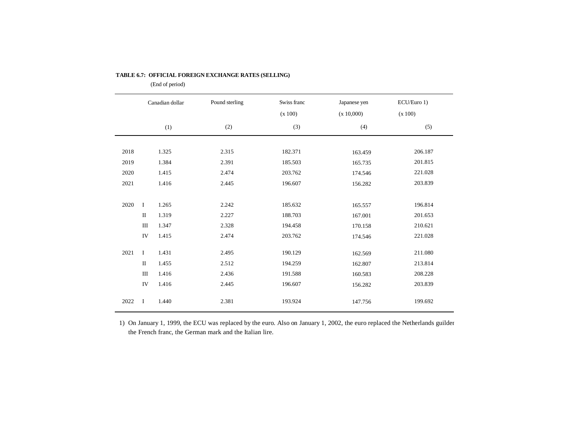|      |             | Canadian dollar | Pound sterling | Swiss franc<br>(x 100) | Japanese yen<br>(x 10,000) | ECU/Euro 1)<br>(x 100) |
|------|-------------|-----------------|----------------|------------------------|----------------------------|------------------------|
|      |             | (1)             | (2)            | (3)                    | (4)                        | (5)                    |
|      |             |                 |                |                        |                            |                        |
| 2018 |             | 1.325           | 2.315          | 182.371                | 163.459                    | 206.187                |
| 2019 |             | 1.384           | 2.391          | 185.503                | 165.735                    | 201.815                |
| 2020 |             | 1.415           | 2.474          | 203.762                | 174.546                    | 221.028                |
| 2021 |             | 1.416           | 2.445          | 196.607                | 156.282                    | 203.839                |
|      |             |                 |                |                        |                            |                        |
| 2020 | $\bf I$     | 1.265           | 2.242          | 185.632                | 165.557                    | 196.814                |
|      | $\rm II$    | 1.319           | 2.227          | 188.703                | 167.001                    | 201.653                |
|      | $\rm III$   | 1.347           | 2.328          | 194.458                | 170.158                    | 210.621                |
|      | IV          | 1.415           | 2.474          | 203.762                | 174.546                    | 221.028                |
|      |             |                 |                |                        |                            |                        |
| 2021 | I           | 1.431           | 2.495          | 190.129                | 162.569                    | 211.080                |
|      | $\rm II$    | 1.455           | 2.512          | 194.259                | 162.807                    | 213.814                |
|      | Ш           | 1.416           | 2.436          | 191.588                | 160.583                    | 208.228                |
|      | IV          | 1.416           | 2.445          | 196.607                | 156.282                    | 203.839                |
| 2022 | $\mathbf I$ | 1.440           | 2.381          | 193.924                | 147.756                    | 199.692                |

#### **TABLE 6.7: OFFICIAL FOREIGN EXCHANGE RATES (SELLING)**

(End of period)

1) On January 1, 1999, the ECU was replaced by the euro. Also on January 1, 2002, the euro replaced the Netherlands guilder, the French franc, the German mark and the Italian lire.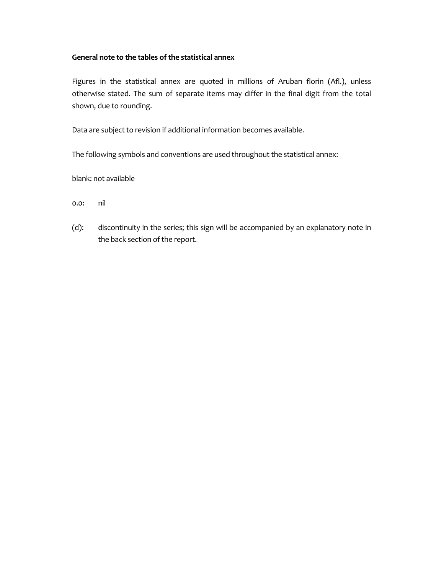### **General note to the tables of the statistical annex**

Figures in the statistical annex are quoted in millions of Aruban florin (Afl.), unless otherwise stated. The sum of separate items may differ in the final digit from the total shown, due to rounding.

Data are subject to revision if additional information becomes available.

The following symbols and conventions are used throughout the statistical annex:

blank: not available

0.0: nil

(d): discontinuity in the series; this sign will be accompanied by an explanatory note in the back section of the report.